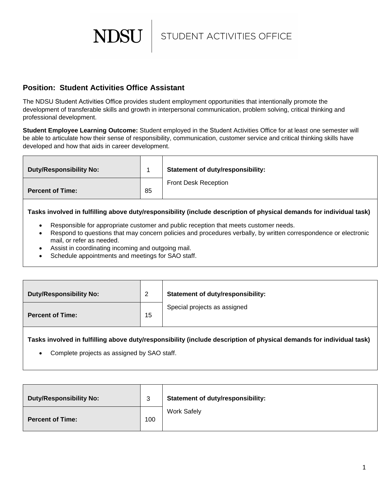STUDENT ACTIVITIES OFFICE

## **Position: Student Activities Office Assistant**

**NDSU** 

The NDSU Student Activities Office provides student employment opportunities that intentionally promote the development of transferable skills and growth in interpersonal communication, problem solving, critical thinking and professional development.

**Student Employee Learning Outcome:** Student employed in the Student Activities Office for at least one semester will be able to articulate how their sense of responsibility, communication, customer service and critical thinking skills have developed and how that aids in career development.

| <b>Duty/Responsibility No:</b> |    | <b>Statement of duty/responsibility:</b> |
|--------------------------------|----|------------------------------------------|
| <b>Percent of Time:</b>        | 85 | <b>Front Desk Reception</b>              |

**Tasks involved in fulfilling above duty/responsibility (include description of physical demands for individual task)**

- Responsible for appropriate customer and public reception that meets customer needs.
- Respond to questions that may concern policies and procedures verbally, by written correspondence or electronic mail, or refer as needed.
- Assist in coordinating incoming and outgoing mail.
- Schedule appointments and meetings for SAO staff.

| Duty/Responsibility No: | ົາ<br><u>_</u> | <b>Statement of duty/responsibility:</b> |
|-------------------------|----------------|------------------------------------------|
| Percent of Time:        | 15             | Special projects as assigned             |

**Tasks involved in fulfilling above duty/responsibility (include description of physical demands for individual task)**

Complete projects as assigned by SAO staff.

| <b>Duty/Responsibility No:</b> | 3   | <b>Statement of duty/responsibility:</b> |
|--------------------------------|-----|------------------------------------------|
| <b>Percent of Time:</b>        | 100 | <b>Work Safely</b>                       |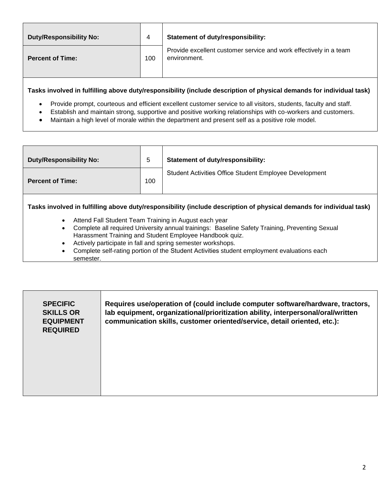| Duty/Responsibility No: | 4   | <b>Statement of duty/responsibility:</b>                                          |  |
|-------------------------|-----|-----------------------------------------------------------------------------------|--|
| <b>Percent of Time:</b> | 100 | Provide excellent customer service and work effectively in a team<br>environment. |  |

**Tasks involved in fulfilling above duty/responsibility (include description of physical demands for individual task)**

- Provide prompt, courteous and efficient excellent customer service to all visitors, students, faculty and staff.
- Establish and maintain strong, supportive and positive working relationships with co-workers and customers.
- Maintain a high level of morale within the department and present self as a positive role model.

| <b>Duty/Responsibility No:</b> | 5   | <b>Statement of duty/responsibility:</b>               |
|--------------------------------|-----|--------------------------------------------------------|
| <b>Percent of Time:</b>        | 100 | Student Activities Office Student Employee Development |

**Tasks involved in fulfilling above duty/responsibility (include description of physical demands for individual task)**

- Attend Fall Student Team Training in August each year
- Complete all required University annual trainings: Baseline Safety Training, Preventing Sexual Harassment Training and Student Employee Handbook quiz.
- Actively participate in fall and spring semester workshops.
- Complete self-rating portion of the Student Activities student employment evaluations each semester.

| <b>SPECIFIC</b><br><b>SKILLS OR</b><br><b>EQUIPMENT</b><br><b>REQUIRED</b> | Requires use/operation of (could include computer software/hardware, tractors,<br>lab equipment, organizational/prioritization ability, interpersonal/oral/written<br>communication skills, customer oriented/service, detail oriented, etc.): |
|----------------------------------------------------------------------------|------------------------------------------------------------------------------------------------------------------------------------------------------------------------------------------------------------------------------------------------|
|                                                                            |                                                                                                                                                                                                                                                |